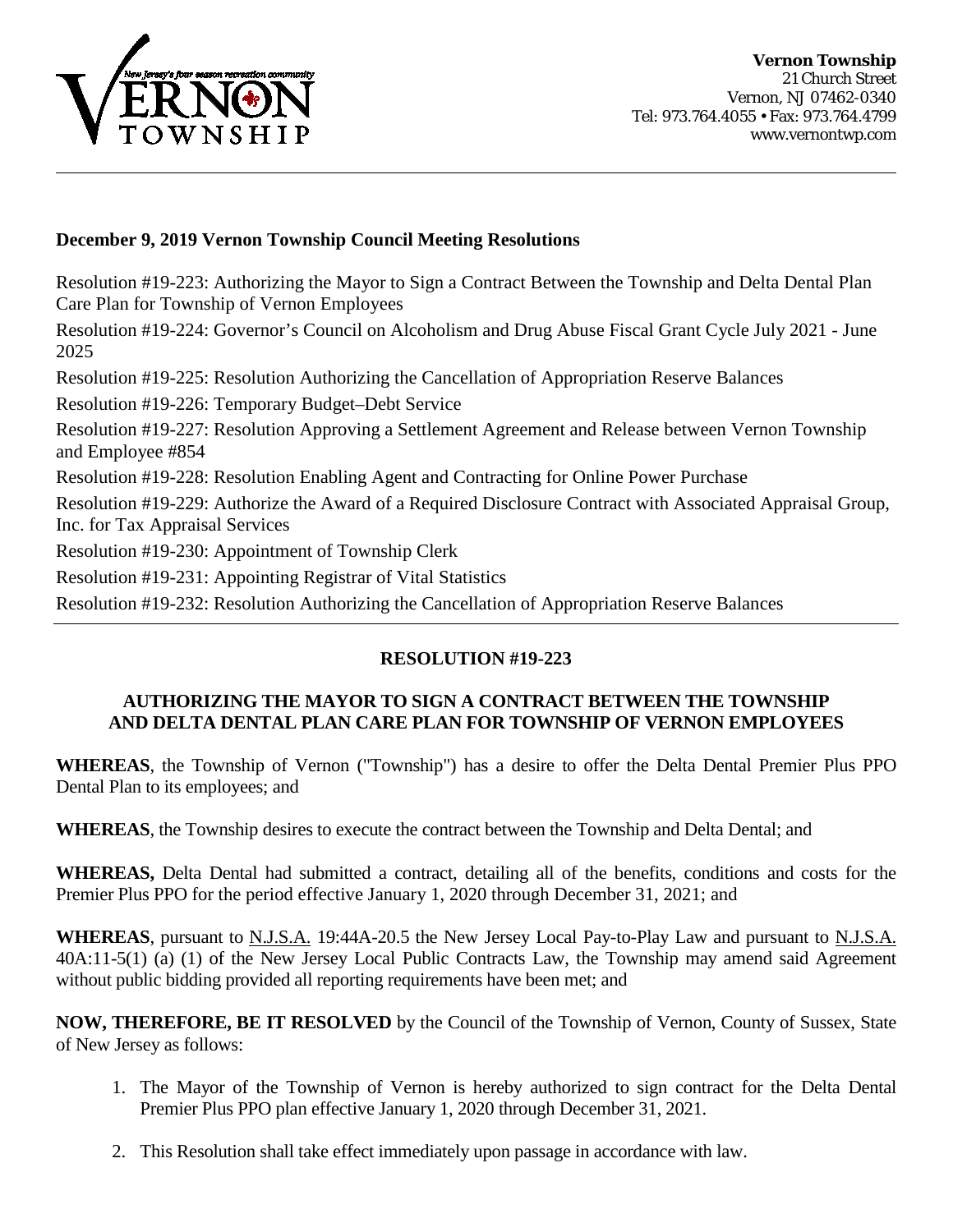

#### **December 9, 2019 Vernon Township Council Meeting Resolutions**

Resolution #19-223: Authorizing the Mayor to Sign a Contract Between the Township and Delta Dental Plan Care Plan for Township of Vernon Employees

Resolution #19-224: Governor's Council on Alcoholism and Drug Abuse Fiscal Grant Cycle July 2021 - June 2025

Resolution #19-225: Resolution Authorizing the Cancellation of Appropriation Reserve Balances

Resolution #19-226: Temporary Budget–Debt Service

Resolution #19-227: Resolution Approving a Settlement Agreement and Release between Vernon Township and Employee #854

Resolution #19-228: Resolution Enabling Agent and Contracting for Online Power Purchase

Resolution #19-229: Authorize the Award of a Required Disclosure Contract with Associated Appraisal Group, Inc. for Tax Appraisal Services

Resolution #19-230: Appointment of Township Clerk

Resolution #19-231: Appointing Registrar of Vital Statistics

Resolution #19-232: Resolution Authorizing the Cancellation of Appropriation Reserve Balances

## **RESOLUTION #19-223**

## **AUTHORIZING THE MAYOR TO SIGN A CONTRACT BETWEEN THE TOWNSHIP AND DELTA DENTAL PLAN CARE PLAN FOR TOWNSHIP OF VERNON EMPLOYEES**

**WHEREAS**, the Township of Vernon ("Township") has a desire to offer the Delta Dental Premier Plus PPO Dental Plan to its employees; and

**WHEREAS**, the Township desires to execute the contract between the Township and Delta Dental; and

**WHEREAS,** Delta Dental had submitted a contract, detailing all of the benefits, conditions and costs for the Premier Plus PPO for the period effective January 1, 2020 through December 31, 2021; and

**WHEREAS**, pursuant to N.J.S.A. 19:44A-20.5 the New Jersey Local Pay-to-Play Law and pursuant to N.J.S.A. 40A:11-5(1) (a) (1) of the New Jersey Local Public Contracts Law, the Township may amend said Agreement without public bidding provided all reporting requirements have been met; and

**NOW, THEREFORE, BE IT RESOLVED** by the Council of the Township of Vernon, County of Sussex, State of New Jersey as follows:

- 1. The Mayor of the Township of Vernon is hereby authorized to sign contract for the Delta Dental Premier Plus PPO plan effective January 1, 2020 through December 31, 2021.
- 2. This Resolution shall take effect immediately upon passage in accordance with law.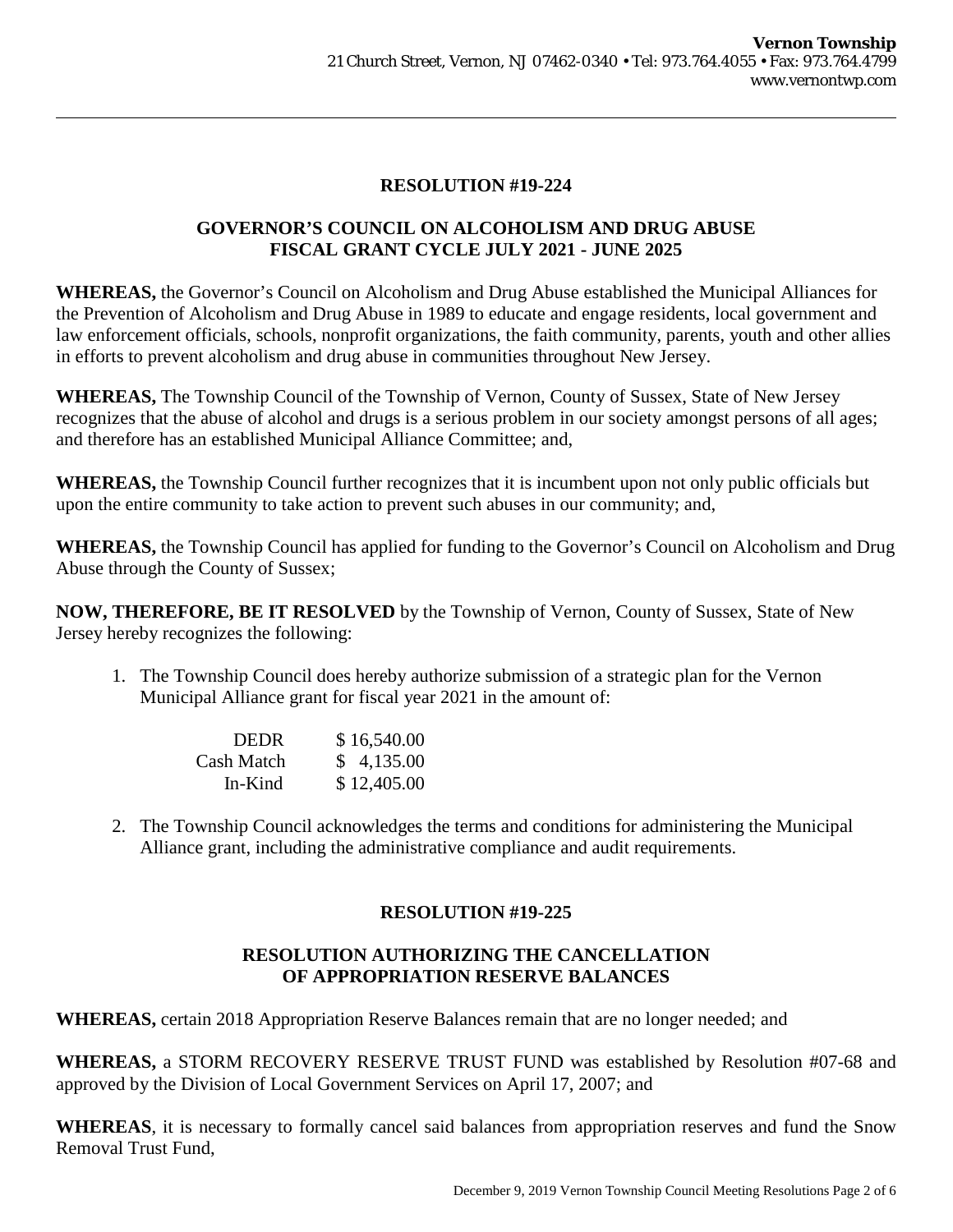## **RESOLUTION #19-224**

## **GOVERNOR'S COUNCIL ON ALCOHOLISM AND DRUG ABUSE FISCAL GRANT CYCLE JULY 2021 - JUNE 2025**

**WHEREAS,** the Governor's Council on Alcoholism and Drug Abuse established the Municipal Alliances for the Prevention of Alcoholism and Drug Abuse in 1989 to educate and engage residents, local government and law enforcement officials, schools, nonprofit organizations, the faith community, parents, youth and other allies in efforts to prevent alcoholism and drug abuse in communities throughout New Jersey.

**WHEREAS,** The Township Council of the Township of Vernon, County of Sussex, State of New Jersey recognizes that the abuse of alcohol and drugs is a serious problem in our society amongst persons of all ages; and therefore has an established Municipal Alliance Committee; and,

**WHEREAS,** the Township Council further recognizes that it is incumbent upon not only public officials but upon the entire community to take action to prevent such abuses in our community; and,

**WHEREAS,** the Township Council has applied for funding to the Governor's Council on Alcoholism and Drug Abuse through the County of Sussex;

**NOW, THEREFORE, BE IT RESOLVED** by the Township of Vernon, County of Sussex, State of New Jersey hereby recognizes the following:

1. The Township Council does hereby authorize submission of a strategic plan for the Vernon Municipal Alliance grant for fiscal year 2021 in the amount of:

| <b>DEDR</b> | \$16,540.00 |
|-------------|-------------|
| Cash Match  | \$4,135.00  |
| In-Kind     | \$12,405.00 |

2. The Township Council acknowledges the terms and conditions for administering the Municipal Alliance grant, including the administrative compliance and audit requirements.

# **RESOLUTION #19-225**

## **RESOLUTION AUTHORIZING THE CANCELLATION OF APPROPRIATION RESERVE BALANCES**

**WHEREAS,** certain 2018 Appropriation Reserve Balances remain that are no longer needed; and

**WHEREAS,** a STORM RECOVERY RESERVE TRUST FUND was established by Resolution #07-68 and approved by the Division of Local Government Services on April 17, 2007; and

**WHEREAS**, it is necessary to formally cancel said balances from appropriation reserves and fund the Snow Removal Trust Fund,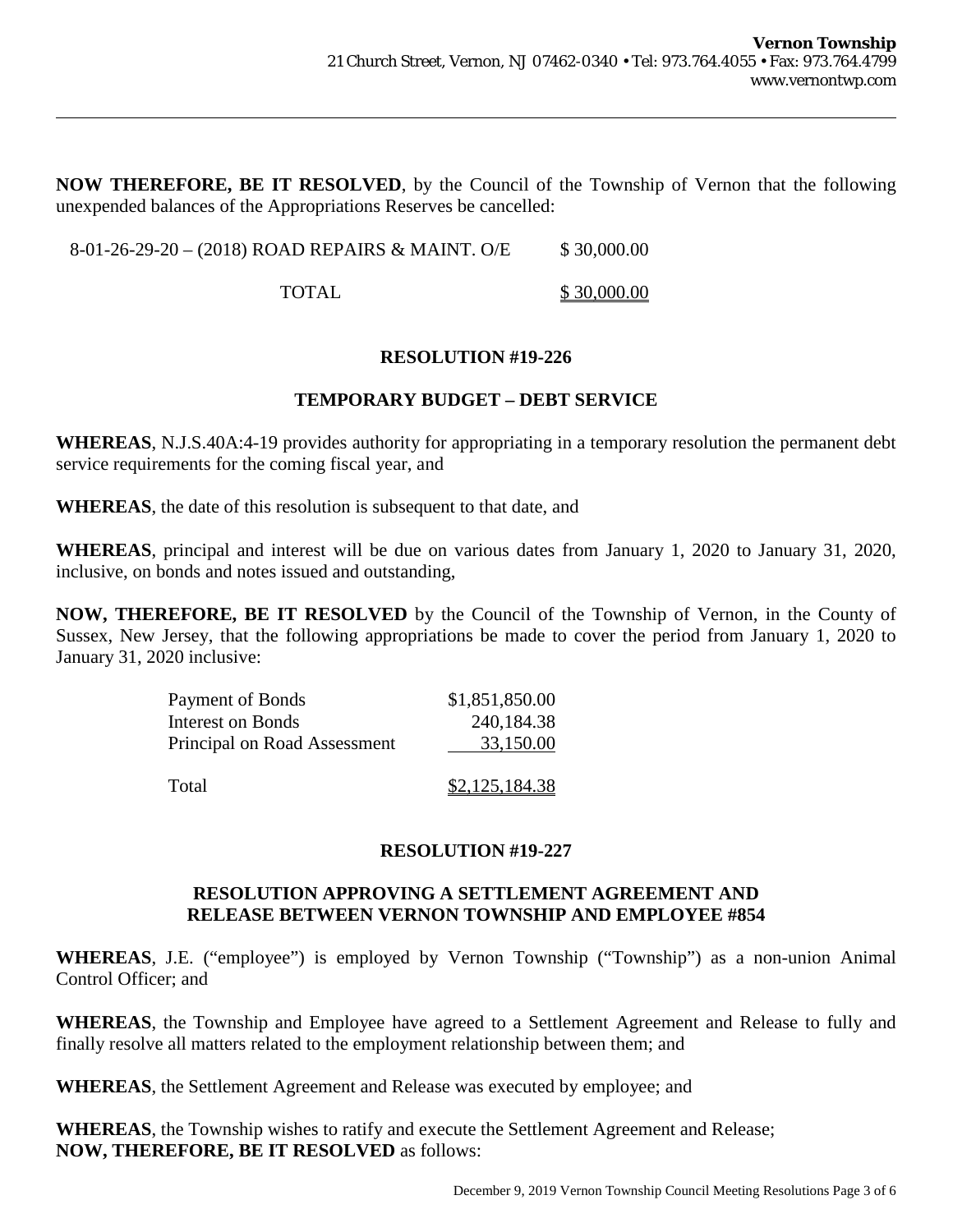**NOW THEREFORE, BE IT RESOLVED**, by the Council of the Township of Vernon that the following unexpended balances of the Appropriations Reserves be cancelled:

8-01-26-29-20 – (2018) ROAD REPAIRS & MAINT. O/E \$30,000.00

TOTAL \$30,000.00

#### **RESOLUTION #19-226**

#### **TEMPORARY BUDGET – DEBT SERVICE**

**WHEREAS**, N.J.S.40A:4-19 provides authority for appropriating in a temporary resolution the permanent debt service requirements for the coming fiscal year, and

**WHEREAS**, the date of this resolution is subsequent to that date, and

**WHEREAS**, principal and interest will be due on various dates from January 1, 2020 to January 31, 2020, inclusive, on bonds and notes issued and outstanding,

**NOW, THEREFORE, BE IT RESOLVED** by the Council of the Township of Vernon, in the County of Sussex, New Jersey, that the following appropriations be made to cover the period from January 1, 2020 to January 31, 2020 inclusive:

| Payment of Bonds             | \$1,851,850.00 |
|------------------------------|----------------|
| <b>Interest on Bonds</b>     | 240,184.38     |
| Principal on Road Assessment | 33,150.00      |
| Total                        | \$2,125,184.38 |

#### **RESOLUTION #19-227**

## **RESOLUTION APPROVING A SETTLEMENT AGREEMENT AND RELEASE BETWEEN VERNON TOWNSHIP AND EMPLOYEE #854**

**WHEREAS**, J.E. ("employee") is employed by Vernon Township ("Township") as a non-union Animal Control Officer; and

**WHEREAS**, the Township and Employee have agreed to a Settlement Agreement and Release to fully and finally resolve all matters related to the employment relationship between them; and

**WHEREAS**, the Settlement Agreement and Release was executed by employee; and

**WHEREAS**, the Township wishes to ratify and execute the Settlement Agreement and Release; **NOW, THEREFORE, BE IT RESOLVED** as follows: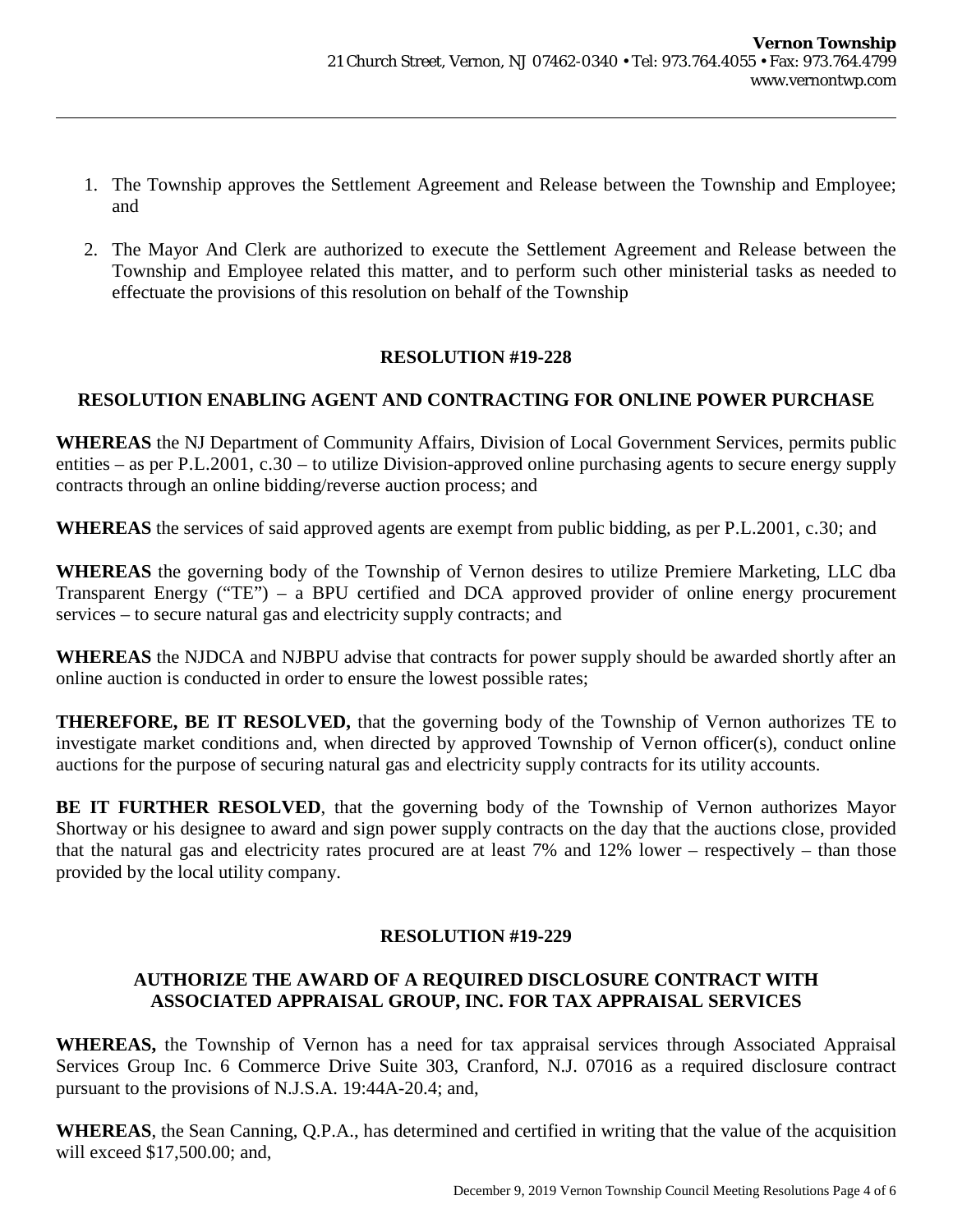- 1. The Township approves the Settlement Agreement and Release between the Township and Employee; and
- 2. The Mayor And Clerk are authorized to execute the Settlement Agreement and Release between the Township and Employee related this matter, and to perform such other ministerial tasks as needed to effectuate the provisions of this resolution on behalf of the Township

## **RESOLUTION #19-228**

## **RESOLUTION ENABLING AGENT AND CONTRACTING FOR ONLINE POWER PURCHASE**

**WHEREAS** the NJ Department of Community Affairs, Division of Local Government Services, permits public entities – as per P.L.2001, c.30 – to utilize Division-approved online purchasing agents to secure energy supply contracts through an online bidding/reverse auction process; and

**WHEREAS** the services of said approved agents are exempt from public bidding, as per P.L.2001, c.30; and

**WHEREAS** the governing body of the Township of Vernon desires to utilize Premiere Marketing, LLC dba Transparent Energy ("TE") – a BPU certified and DCA approved provider of online energy procurement services – to secure natural gas and electricity supply contracts; and

**WHEREAS** the NJDCA and NJBPU advise that contracts for power supply should be awarded shortly after an online auction is conducted in order to ensure the lowest possible rates;

**THEREFORE, BE IT RESOLVED,** that the governing body of the Township of Vernon authorizes TE to investigate market conditions and, when directed by approved Township of Vernon officer(s), conduct online auctions for the purpose of securing natural gas and electricity supply contracts for its utility accounts.

**BE IT FURTHER RESOLVED**, that the governing body of the Township of Vernon authorizes Mayor Shortway or his designee to award and sign power supply contracts on the day that the auctions close, provided that the natural gas and electricity rates procured are at least 7% and 12% lower – respectively – than those provided by the local utility company.

## **RESOLUTION #19-229**

## **AUTHORIZE THE AWARD OF A REQUIRED DISCLOSURE CONTRACT WITH ASSOCIATED APPRAISAL GROUP, INC. FOR TAX APPRAISAL SERVICES**

**WHEREAS,** the Township of Vernon has a need for tax appraisal services through Associated Appraisal Services Group Inc. 6 Commerce Drive Suite 303, Cranford, N.J. 07016 as a required disclosure contract pursuant to the provisions of N.J.S.A. 19:44A-20.4; and,

**WHEREAS**, the Sean Canning, Q.P.A., has determined and certified in writing that the value of the acquisition will exceed \$17,500.00; and,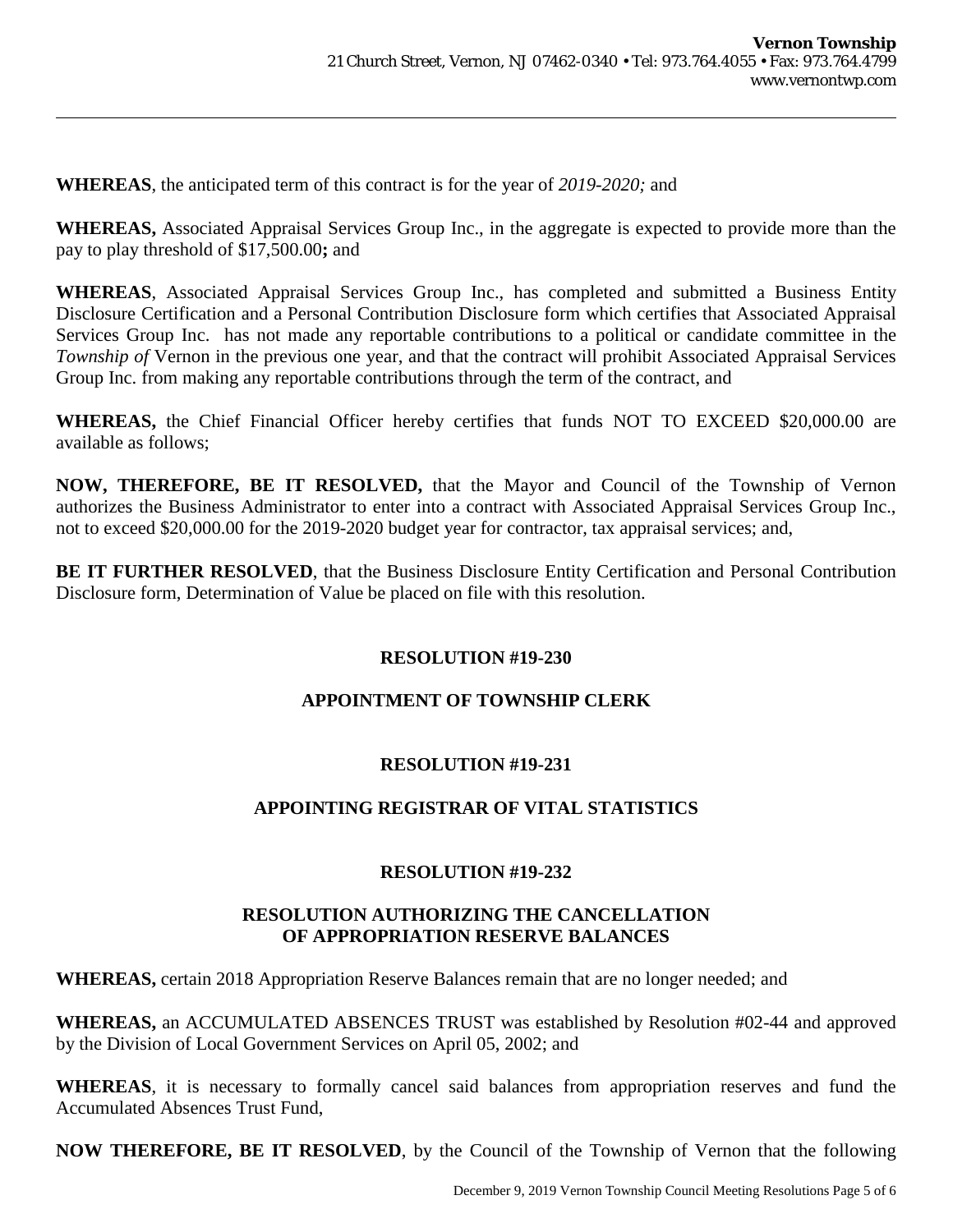**WHEREAS**, the anticipated term of this contract is for the year of *2019-2020;* and

**WHEREAS,** Associated Appraisal Services Group Inc., in the aggregate is expected to provide more than the pay to play threshold of \$17,500.00**;** and

**WHEREAS**, Associated Appraisal Services Group Inc., has completed and submitted a Business Entity Disclosure Certification and a Personal Contribution Disclosure form which certifies that Associated Appraisal Services Group Inc. has not made any reportable contributions to a political or candidate committee in the *Township of* Vernon in the previous one year, and that the contract will prohibit Associated Appraisal Services Group Inc. from making any reportable contributions through the term of the contract, and

**WHEREAS,** the Chief Financial Officer hereby certifies that funds NOT TO EXCEED \$20,000.00 are available as follows;

**NOW, THEREFORE, BE IT RESOLVED,** that the Mayor and Council of the Township of Vernon authorizes the Business Administrator to enter into a contract with Associated Appraisal Services Group Inc., not to exceed \$20,000.00 for the 2019-2020 budget year for contractor, tax appraisal services; and,

**BE IT FURTHER RESOLVED**, that the Business Disclosure Entity Certification and Personal Contribution Disclosure form, Determination of Value be placed on file with this resolution.

## **RESOLUTION #19-230**

# **APPOINTMENT OF TOWNSHIP CLERK**

## **RESOLUTION #19-231**

# **APPOINTING REGISTRAR OF VITAL STATISTICS**

## **RESOLUTION #19-232**

#### **RESOLUTION AUTHORIZING THE CANCELLATION OF APPROPRIATION RESERVE BALANCES**

**WHEREAS,** certain 2018 Appropriation Reserve Balances remain that are no longer needed; and

**WHEREAS,** an ACCUMULATED ABSENCES TRUST was established by Resolution #02-44 and approved by the Division of Local Government Services on April 05, 2002; and

**WHEREAS**, it is necessary to formally cancel said balances from appropriation reserves and fund the Accumulated Absences Trust Fund,

**NOW THEREFORE, BE IT RESOLVED**, by the Council of the Township of Vernon that the following